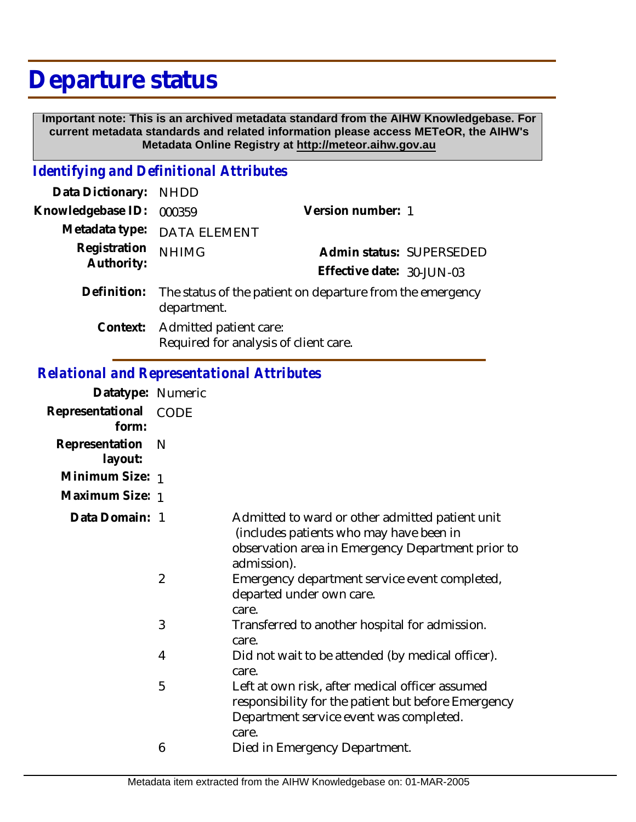# **Departure status**

 **Important note: This is an archived metadata standard from the AIHW Knowledgebase. For current metadata standards and related information please access METeOR, the AIHW's Metadata Online Registry at http://meteor.aihw.gov.au**

### *Identifying and Definitional Attributes*

| Data Dictionary: NHDD      |                                                                          |                           |                          |
|----------------------------|--------------------------------------------------------------------------|---------------------------|--------------------------|
| Knowledgebase ID:          | 000359                                                                   | Version number: 1         |                          |
|                            | Metadata type: DATA ELEMENT                                              |                           |                          |
| Registration<br>Authority: | <b>NHIMG</b>                                                             |                           | Admin status: SUPERSEDED |
|                            |                                                                          | Effective date: 30-JUN-03 |                          |
| Definition:                | The status of the patient on departure from the emergency<br>department. |                           |                          |
|                            | Context: Admitted patient care:<br>Required for analysis of client care. |                           |                          |

# *Relational and Representational Attributes*

| Datatype: Numeric         |                |                                                                                                                                                                |
|---------------------------|----------------|----------------------------------------------------------------------------------------------------------------------------------------------------------------|
| Representational<br>form: | <b>CODE</b>    |                                                                                                                                                                |
| Representation<br>layout: | N              |                                                                                                                                                                |
| Minimum Size: 1           |                |                                                                                                                                                                |
| Maximum Size: 1           |                |                                                                                                                                                                |
| Data Domain: 1            |                | Admitted to ward or other admitted patient unit<br>(includes patients who may have been in<br>observation area in Emergency Department prior to<br>admission). |
|                           | $\overline{2}$ | Emergency department service event completed,<br>departed under own care.<br>care.                                                                             |
|                           | 3              | Transferred to another hospital for admission.<br>care.                                                                                                        |
|                           | 4              | Did not wait to be attended (by medical officer).<br>care.                                                                                                     |
|                           | 5              | Left at own risk, after medical officer assumed<br>responsibility for the patient but before Emergency<br>Department service event was completed.<br>care.     |
|                           | 6              | Died in Emergency Department.                                                                                                                                  |